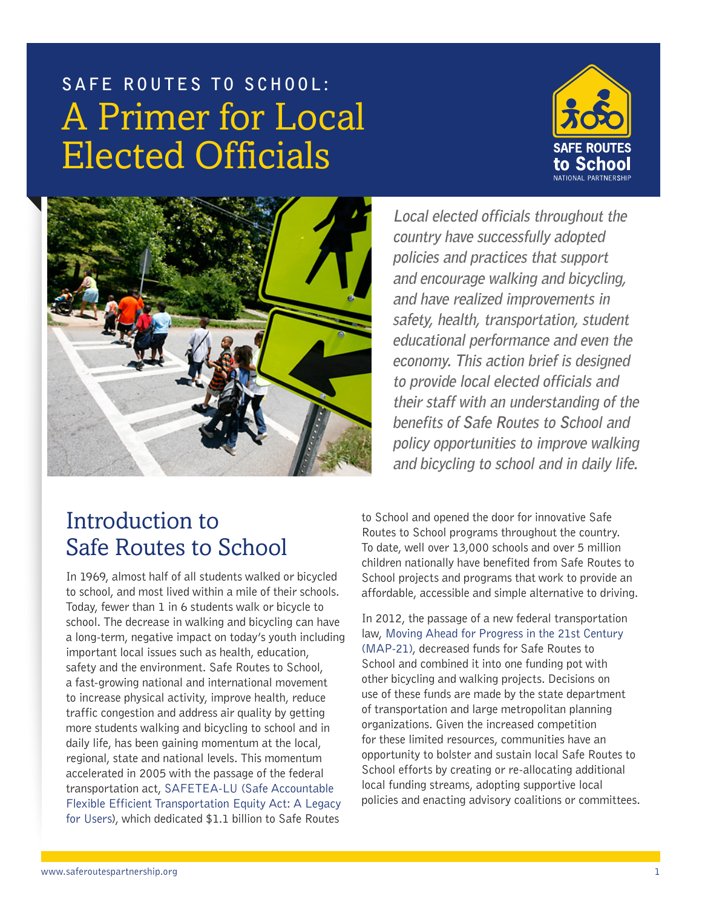



**Local elected officials throughout the country have successfully adopted policies and practices that support and encourage walking and bicycling, and have realized improvements in safety, health, transportation, student educational performance and even the economy. This action brief is designed to provide local elected officials and their staff with an understanding of the benefits of Safe Routes to School and policy opportunities to improve walking and bicycling to school and in daily life.** 

# Introduction to Safe Routes to School

In 1969, almost half of all students walked or bicycled to school, and most lived within a mile of their schools. Today, fewer than 1 in 6 students walk or bicycle to school. The decrease in walking and bicycling can have a long-term, negative impact on today's youth including important local issues such as health, education, safety and the environment. Safe Routes to School, a fast-growing national and international movement to increase physical activity, improve health, reduce traffic congestion and address air quality by getting more students walking and bicycling to school and in daily life, has been gaining momentum at the local, regional, state and national levels. This momentum accelerated in 2005 with the passage of the federal transportation act, [SAFETEA-LU \(Safe Accountable](http://www.fhwa.dot.gov/safetealu/)  [Flexible Efficient Transportation Equity Act: A Legacy](http://www.fhwa.dot.gov/safetealu/)  [for Users\)](http://www.fhwa.dot.gov/safetealu/), which dedicated \$1.1 billion to Safe Routes

to School and opened the door for innovative Safe Routes to School programs throughout the country. To date, well over 13,000 schools and over 5 million children nationally have benefited from Safe Routes to School projects and programs that work to provide an affordable, accessible and simple alternative to driving.

In 2012, the passage of a new federal transportation law, [Moving Ahead for Progress in the 21st Century](http://www.fhwa.dot.gov/map21/guidance/guidetap.cfm)  [\(MAP-21\),](http://www.fhwa.dot.gov/map21/guidance/guidetap.cfm) decreased funds for Safe Routes to School and combined it into one funding pot with other bicycling and walking projects. Decisions on use of these funds are made by the state department of transportation and large metropolitan planning organizations. Given the increased competition for these limited resources, communities have an opportunity to bolster and sustain local Safe Routes to School efforts by creating or re-allocating additional local funding streams, adopting supportive local policies and enacting advisory coalitions or committees.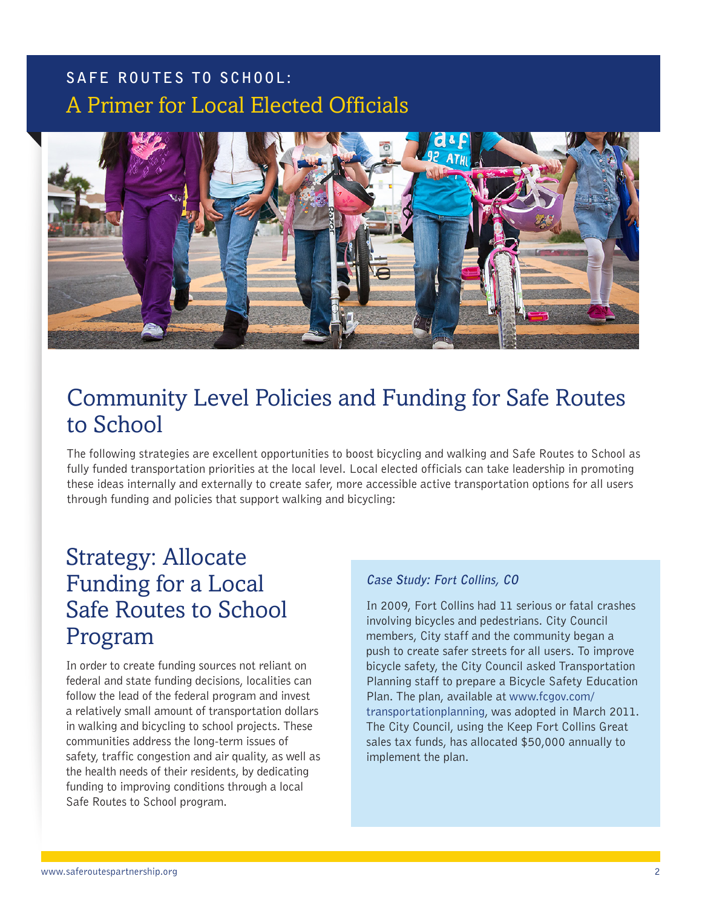

# Community Level Policies and Funding for Safe Routes to School

The following strategies are excellent opportunities to boost bicycling and walking and Safe Routes to School as fully funded transportation priorities at the local level. Local elected officials can take leadership in promoting these ideas internally and externally to create safer, more accessible active transportation options for all users through funding and policies that support walking and bicycling:

# Strategy: Allocate Funding for a Local Safe Routes to School Program

In order to create funding sources not reliant on federal and state funding decisions, localities can follow the lead of the federal program and invest a relatively small amount of transportation dollars in walking and bicycling to school projects. These communities address the long-term issues of safety, traffic congestion and air quality, as well as the health needs of their residents, by dedicating funding to improving conditions through a local Safe Routes to School program.

#### **Case Study: Fort Collins, CO**

In 2009, Fort Collins had 11 serious or fatal crashes involving bicycles and pedestrians. City Council members, City staff and the community began a push to create safer streets for all users. To improve bicycle safety, the City Council asked Transportation Planning staff to prepare a Bicycle Safety Education Plan. The plan, available at [www.fcgov.com/](http://www.fcgov.com/transportationplanning) [transportationplanning,](http://www.fcgov.com/transportationplanning) was adopted in March 2011. The City Council, using the Keep Fort Collins Great sales tax funds, has allocated \$50,000 annually to implement the plan.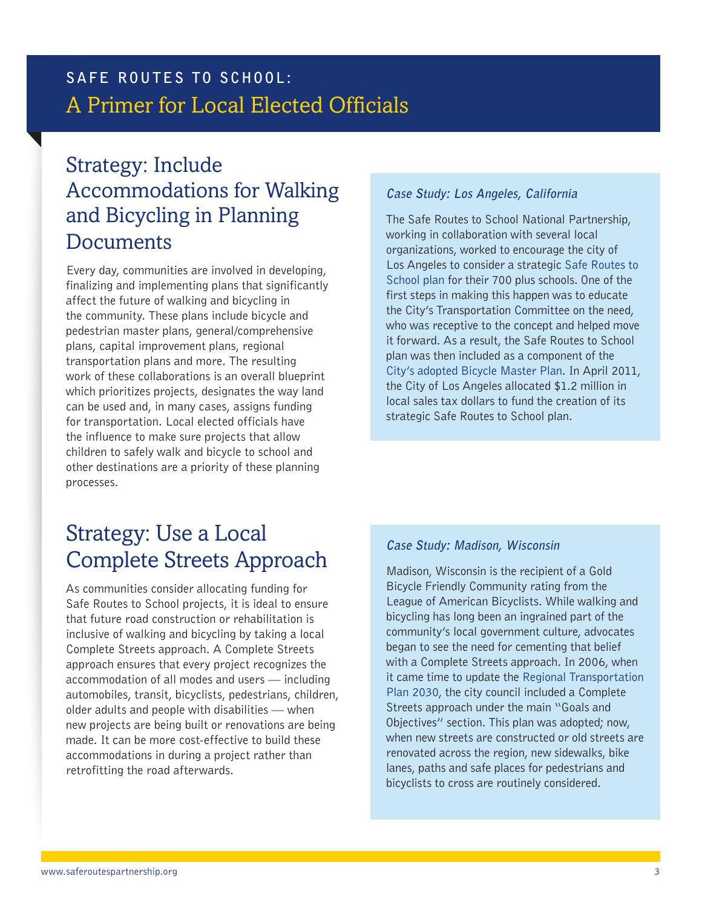### Strategy: Include Accommodations for Walking and Bicycling in Planning **Documents**

Every day, communities are involved in developing, finalizing and implementing plans that significantly affect the future of walking and bicycling in the community. These plans include bicycle and pedestrian master plans, general/comprehensive plans, capital improvement plans, regional transportation plans and more. The resulting work of these collaborations is an overall blueprint which prioritizes projects, designates the way land can be used and, in many cases, assigns funding for transportation. Local elected officials have the influence to make sure projects that allow children to safely walk and bicycle to school and other destinations are a priority of these planning processes.

#### **Case Study: Los Angeles, California**

The Safe Routes to School National Partnership, working in collaboration with several local organizations, worked to encourage the city of Los Angeles to consider a strategic [Safe Routes to](http://saferoutescalifornia.files.wordpress.com/2011/03/city_of_la_srtsstrategicplan_proposal_03_09_111.pdf)  [School plan](http://saferoutescalifornia.files.wordpress.com/2011/03/city_of_la_srtsstrategicplan_proposal_03_09_111.pdf) for their 700 plus schools. One of the first steps in making this happen was to educate the City's Transportation Committee on the need, who was receptive to the concept and helped move it forward. As a result, the Safe Routes to School plan was then included as a component of the [City's adopted Bicycle Master Plan.](http://clkrep.lacity.org/onlinedocs/2010/10-2385-s2_misc_2-3-2011a.pdf) In April 2011, the City of Los Angeles allocated \$1.2 million in local sales tax dollars to fund the creation of its strategic Safe Routes to School plan.

# Strategy: Use a Local Complete Streets Approach

As communities consider allocating funding for Safe Routes to School projects, it is ideal to ensure that future road construction or rehabilitation is inclusive of walking and bicycling by taking a local Complete Streets approach. A Complete Streets approach ensures that every project recognizes the accommodation of all modes and users — including automobiles, transit, bicyclists, pedestrians, children, older adults and people with disabilities — when new projects are being built or renovations are being made. It can be more cost-effective to build these accommodations in during a project rather than retrofitting the road afterwards.

#### **Case Study: Madison, Wisconsin**

Madison, Wisconsin is the recipient of a Gold Bicycle Friendly Community rating from the League of American Bicyclists. While walking and bicycling has long been an ingrained part of the community's local government culture, advocates began to see the need for cementing that belief with a Complete Streets approach. In 2006, when it came time to update the [Regional Transportation](http://www.madisonareampo.org/planning/regionalplan.cfm)  [Plan 2030,](http://www.madisonareampo.org/planning/regionalplan.cfm) the city council included a Complete Streets approach under the main "Goals and Objectives" section. This plan was adopted; now, when new streets are constructed or old streets are renovated across the region, new sidewalks, bike lanes, paths and safe places for pedestrians and bicyclists to cross are routinely considered.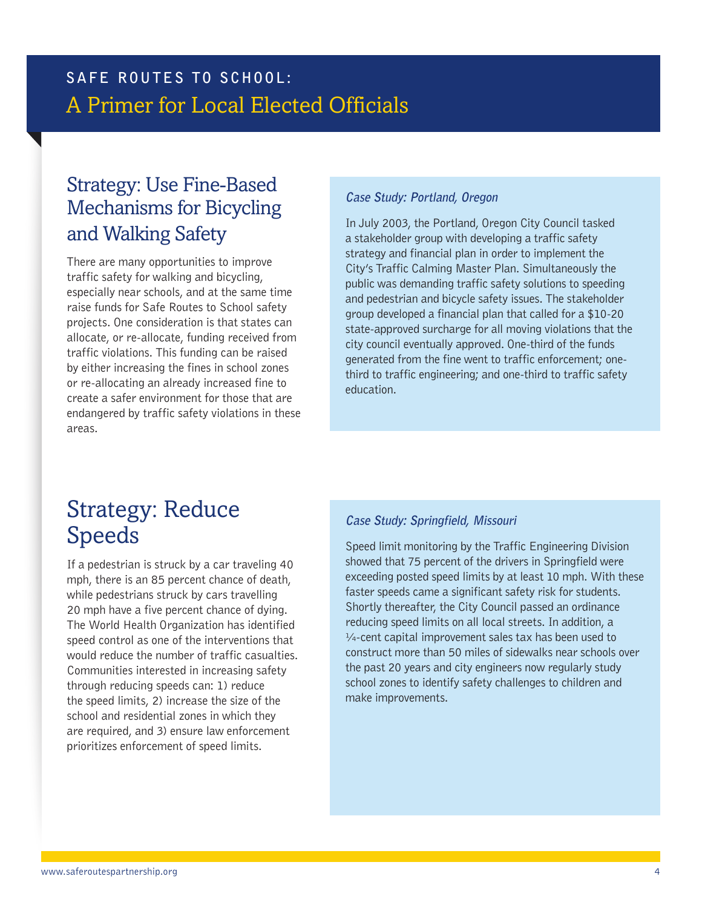### Strategy: Use Fine-Based Mechanisms for Bicycling and Walking Safety

There are many opportunities to improve traffic safety for walking and bicycling, especially near schools, and at the same time raise funds for Safe Routes to School safety projects. One consideration is that states can allocate, or re-allocate, funding received from traffic violations. This funding can be raised by either increasing the fines in school zones or re-allocating an already increased fine to create a safer environment for those that are endangered by traffic safety violations in these areas.

#### **Case Study: Portland, Oregon**

In July 2003, the Portland, Oregon City Council tasked a stakeholder group with developing a traffic safety strategy and financial plan in order to implement the City's Traffic Calming Master Plan. Simultaneously the public was demanding traffic safety solutions to speeding and pedestrian and bicycle safety issues. The stakeholder group developed a financial plan that called for a \$10-20 state-approved surcharge for all moving violations that the city council eventually approved. One-third of the funds generated from the fine went to traffic enforcement; onethird to traffic engineering; and one-third to traffic safety education.

# Strategy: Reduce Speeds

If a pedestrian is struck by a car traveling 40 mph, there is an 85 percent chance of death, while pedestrians struck by cars travelling 20 mph have a five percent chance of dying. The World Health Organization has identified speed control as one of the interventions that would reduce the number of traffic casualties. Communities interested in increasing safety through reducing speeds can: 1) reduce the speed limits, 2) increase the size of the school and residential zones in which they are required, and 3) ensure law enforcement prioritizes enforcement of speed limits.

#### **Case Study: Springfield, Missouri**

Speed limit monitoring by the Traffic Engineering Division showed that 75 percent of the drivers in Springfield were exceeding posted speed limits by at least 10 mph. With these faster speeds came a significant safety risk for students. Shortly thereafter, the City Council passed an ordinance reducing speed limits on all local streets. In addition, a  $\frac{1}{4}$ -cent capital improvement sales tax has been used to construct more than 50 miles of sidewalks near schools over the past 20 years and city engineers now regularly study school zones to identify safety challenges to children and make improvements.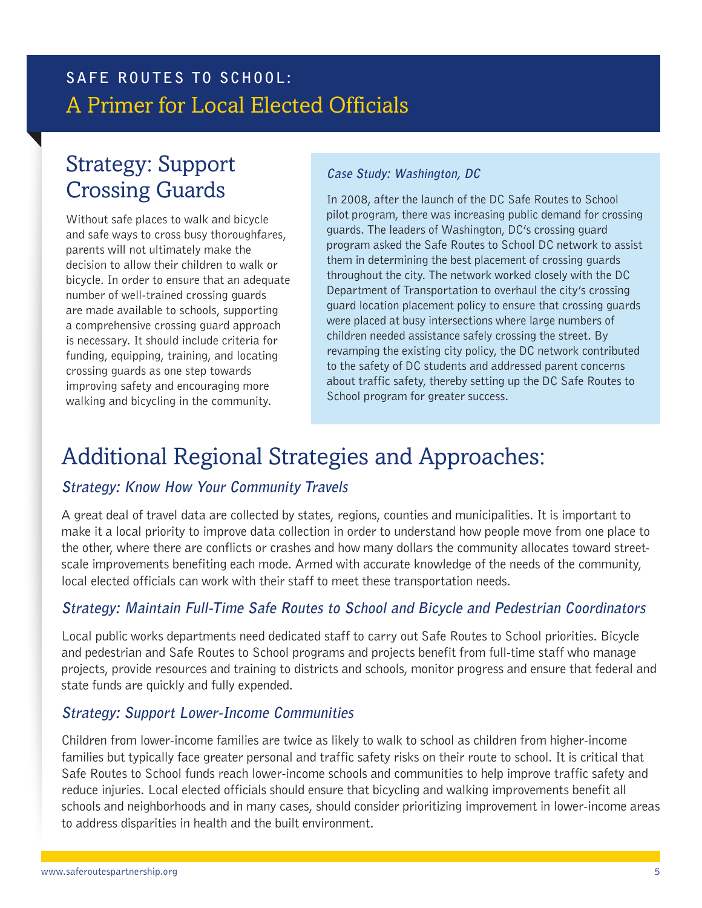# Strategy: Support Crossing Guards

Without safe places to walk and bicycle and safe ways to cross busy thoroughfares, parents will not ultimately make the decision to allow their children to walk or bicycle. In order to ensure that an adequate number of well-trained crossing guards are made available to schools, supporting a comprehensive crossing guard approach is necessary. It should include criteria for funding, equipping, training, and locating crossing guards as one step towards improving safety and encouraging more walking and bicycling in the community.

#### **Case Study: Washington, DC**

In 2008, after the launch of the DC Safe Routes to School pilot program, there was increasing public demand for crossing guards. The leaders of Washington, DC's crossing guard program asked the Safe Routes to School DC network to assist them in determining the best placement of crossing guards throughout the city. The network worked closely with the DC Department of Transportation to overhaul the city's crossing guard location placement policy to ensure that crossing guards were placed at busy intersections where large numbers of children needed assistance safely crossing the street. By revamping the existing city policy, the DC network contributed to the safety of DC students and addressed parent concerns about traffic safety, thereby setting up the DC Safe Routes to School program for greater success.

# Additional Regional Strategies and Approaches:

### **Strategy: Know How Your Community Travels**

A great deal of travel data are collected by states, regions, counties and municipalities. It is important to make it a local priority to improve data collection in order to understand how people move from one place to the other, where there are conflicts or crashes and how many dollars the community allocates toward streetscale improvements benefiting each mode. Armed with accurate knowledge of the needs of the community, local elected officials can work with their staff to meet these transportation needs.

### **Strategy: Maintain Full-Time Safe Routes to School and Bicycle and Pedestrian Coordinators**

Local public works departments need dedicated staff to carry out Safe Routes to School priorities. Bicycle and pedestrian and Safe Routes to School programs and projects benefit from full-time staff who manage projects, provide resources and training to districts and schools, monitor progress and ensure that federal and state funds are quickly and fully expended.

#### **Strategy: Support Lower-Income Communities**

Children from lower-income families are twice as likely to walk to school as children from higher-income families but typically face greater personal and traffic safety risks on their route to school. It is critical that Safe Routes to School funds reach lower-income schools and communities to help improve traffic safety and reduce injuries. Local elected officials should ensure that bicycling and walking improvements benefit all schools and neighborhoods and in many cases, should consider prioritizing improvement in lower-income areas to address disparities in health and the built environment.